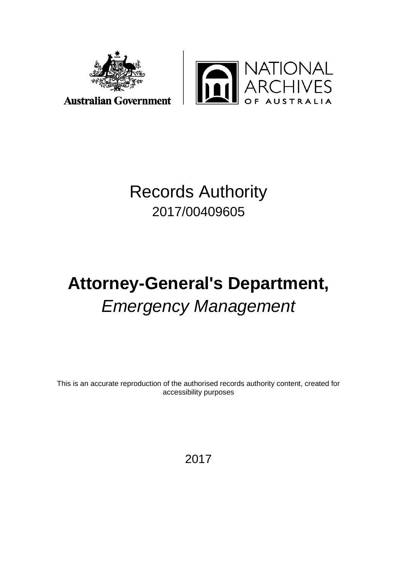



**Australian Government** 

## Records Authority 2017/00409605

# **Attorney-General's Department,**  *Emergency Management*

This is an accurate reproduction of the authorised records authority content, created for accessibility purposes

2017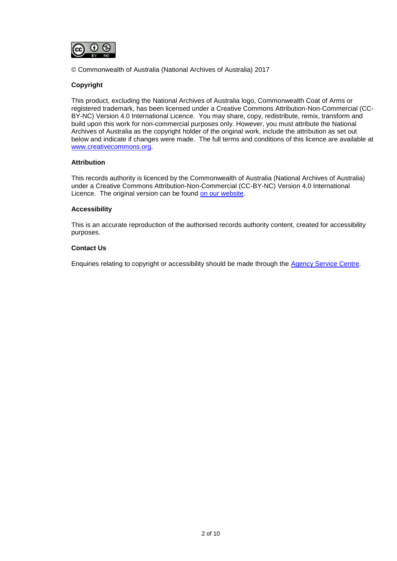

© Commonwealth of Australia (National Archives of Australia) 2017

#### **Copyright**

This product, excluding the National Archives of Australia logo, Commonwealth Coat of Arms or registered trademark, has been licensed under a Creative Commons Attribution-Non-Commercial (CC-BY-NC) Version 4.0 International Licence. You may share, copy, redistribute, remix, transform and build upon this work for non-commercial purposes only. However, you must attribute the National Archives of Australia as the copyright holder of the original work, include the attribution as set out below and indicate if changes were made. The full terms and conditions of this licence are available at [www.creativecommons.org.](http://www.creativecommons.org/)

#### **Attribution**

This records authority is licenced by the Commonwealth of Australia (National Archives of Australia) under a Creative Commons Attribution-Non-Commercial (CC-BY-NC) Version 4.0 International Licence. The original version can be found [on our website.](http://www.naa.gov.au/)

#### **Accessibility**

This is an accurate reproduction of the authorised records authority content, created for accessibility purposes.

#### **Contact Us**

Enquiries relating to copyright or accessibility should be made through the [Agency Service Centre.](http://reftracker.naa.gov.au/reft000.aspx)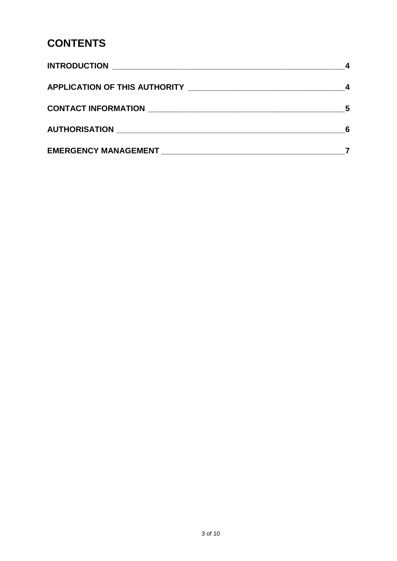### **CONTENTS**

|                                                                                                                                                                                                                                      | 5 |
|--------------------------------------------------------------------------------------------------------------------------------------------------------------------------------------------------------------------------------------|---|
| AUTHORISATION NATION AUTHORISATION                                                                                                                                                                                                   |   |
| <b>EMERGENCY MANAGEMENT EXAMPLE AND SERVICE SERVICE SERVICE SERVICE SERVICE SERVICE SERVICE SERVICE SERVICE SERVICE SERVICE SERVICE SERVICE SERVICE SERVICE SERVICE SERVICE SERVICE SERVICE SERVICE SERVICE SERVICE SERVICE SERV</b> |   |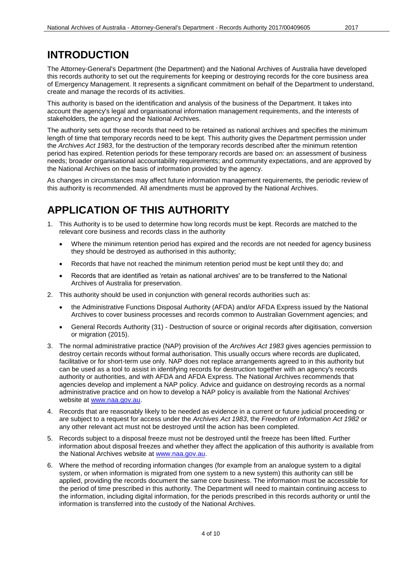### <span id="page-3-0"></span>**INTRODUCTION**

The Attorney-General's Department (the Department) and the National Archives of Australia have developed this records authority to set out the requirements for keeping or destroying records for the core business area of Emergency Management. It represents a significant commitment on behalf of the Department to understand, create and manage the records of its activities.

This authority is based on the identification and analysis of the business of the Department. It takes into account the agency's legal and organisational information management requirements, and the interests of stakeholders, the agency and the National Archives.

The authority sets out those records that need to be retained as national archives and specifies the minimum length of time that temporary records need to be kept. This authority gives the Department permission under the *Archives Act 1983*, for the destruction of the temporary records described after the minimum retention period has expired. Retention periods for these temporary records are based on: an assessment of business needs; broader organisational accountability requirements; and community expectations, and are approved by the National Archives on the basis of information provided by the agency.

As changes in circumstances may affect future information management requirements, the periodic review of this authority is recommended. All amendments must be approved by the National Archives.

### <span id="page-3-1"></span>**APPLICATION OF THIS AUTHORITY**

- 1. This Authority is to be used to determine how long records must be kept. Records are matched to the relevant core business and records class in the authority
	- Where the minimum retention period has expired and the records are not needed for agency business they should be destroyed as authorised in this authority;
	- Records that have not reached the minimum retention period must be kept until they do; and
	- Records that are identified as 'retain as national archives' are to be transferred to the National Archives of Australia for preservation.
- 2. This authority should be used in conjunction with general records authorities such as:
	- the Administrative Functions Disposal Authority (AFDA) and/or AFDA Express issued by the National Archives to cover business processes and records common to Australian Government agencies; and
	- General Records Authority (31) Destruction of source or original records after digitisation, conversion or migration (2015).
- 3. The normal administrative practice (NAP) provision of the *Archives Act 1983* gives agencies permission to destroy certain records without formal authorisation. This usually occurs where records are duplicated, facilitative or for short-term use only. NAP does not replace arrangements agreed to in this authority but can be used as a tool to assist in identifying records for destruction together with an agency's records authority or authorities, and with AFDA and AFDA Express. The National Archives recommends that agencies develop and implement a NAP policy. Advice and guidance on destroying records as a normal administrative practice and on how to develop a NAP policy is available from the National Archives' website at [www.naa.gov.au.](http://www.naa.gov.au/)
- 4. Records that are reasonably likely to be needed as evidence in a current or future judicial proceeding or are subject to a request for access under the *Archives Act 1983*, the *Freedom of Information Act 1982* or any other relevant act must not be destroyed until the action has been completed.
- 5. Records subject to a disposal freeze must not be destroyed until the freeze has been lifted. Further information about disposal freezes and whether they affect the application of this authority is available from the National Archives website at [www.naa.gov.au.](http://www.naa.gov.au/)
- 6. Where the method of recording information changes (for example from an analogue system to a digital system, or when information is migrated from one system to a new system) this authority can still be applied, providing the records document the same core business. The information must be accessible for the period of time prescribed in this authority. The Department will need to maintain continuing access to the information, including digital information, for the periods prescribed in this records authority or until the information is transferred into the custody of the National Archives.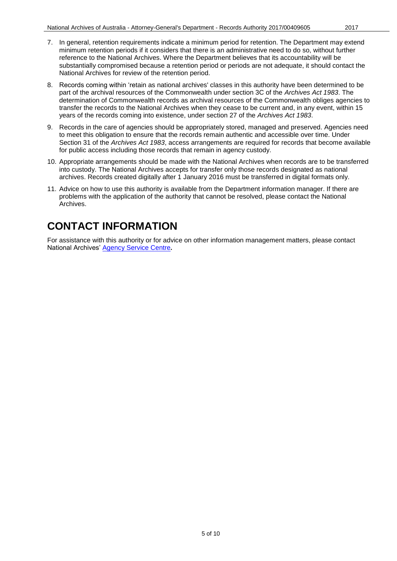- 7. In general, retention requirements indicate a minimum period for retention. The Department may extend minimum retention periods if it considers that there is an administrative need to do so, without further reference to the National Archives. Where the Department believes that its accountability will be substantially compromised because a retention period or periods are not adequate, it should contact the National Archives for review of the retention period.
- 8. Records coming within 'retain as national archives' classes in this authority have been determined to be part of the archival resources of the Commonwealth under section 3C of the *Archives Act 1983*. The determination of Commonwealth records as archival resources of the Commonwealth obliges agencies to transfer the records to the National Archives when they cease to be current and, in any event, within 15 years of the records coming into existence, under section 27 of the *Archives Act 1983*.
- 9. Records in the care of agencies should be appropriately stored, managed and preserved. Agencies need to meet this obligation to ensure that the records remain authentic and accessible over time. Under Section 31 of the *Archives Act 1983*, access arrangements are required for records that become available for public access including those records that remain in agency custody.
- 10. Appropriate arrangements should be made with the National Archives when records are to be transferred into custody. The National Archives accepts for transfer only those records designated as national archives. Records created digitally after 1 January 2016 must be transferred in digital formats only.
- 11. Advice on how to use this authority is available from the Department information manager. If there are problems with the application of the authority that cannot be resolved, please contact the National Archives.

### <span id="page-4-0"></span>**CONTACT INFORMATION**

For assistance with this authority or for advice on other information management matters, please contact National Archives' [Agency Service Centre](http://reftracker.naa.gov.au/reft000.aspx)**.**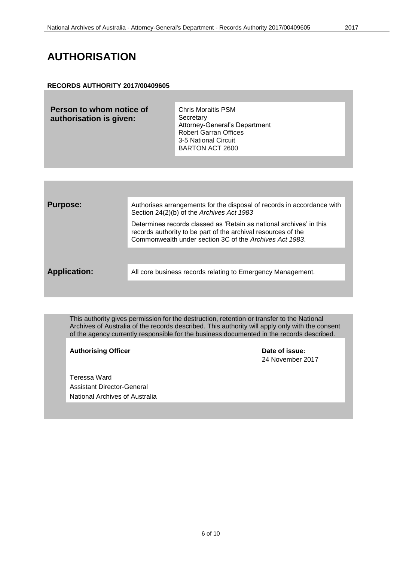#### <span id="page-5-0"></span>**AUTHORISATION**

#### **RECORDS AUTHORITY 2017/00409605**

| Person to whom notice of<br>authorisation is given: | <b>Chris Moraitis PSM</b><br>Secretary<br>Attorney-General's Department<br><b>Robert Garran Offices</b><br>3-5 National Circuit<br><b>BARTON ACT 2600</b> |
|-----------------------------------------------------|-----------------------------------------------------------------------------------------------------------------------------------------------------------|
|                                                     |                                                                                                                                                           |

| <b>Purpose:</b>     | Authorises arrangements for the disposal of records in accordance with<br>Section 24(2)(b) of the Archives Act 1983                                                                             |
|---------------------|-------------------------------------------------------------------------------------------------------------------------------------------------------------------------------------------------|
|                     | Determines records classed as 'Retain as national archives' in this<br>records authority to be part of the archival resources of the<br>Commonwealth under section 3C of the Archives Act 1983. |
|                     |                                                                                                                                                                                                 |
| <b>Application:</b> | All core business records relating to Emergency Management.                                                                                                                                     |
|                     |                                                                                                                                                                                                 |

This authority gives permission for the destruction, retention or transfer to the National Archives of Australia of the records described. This authority will apply only with the consent of the agency currently responsible for the business documented in the records described.

Authorising Officer **Contract Contract Contract Contract Contract Contract Contract Contract Contract Contract Contract Contract Contract Contract Contract Contract Contract Contract Contract Contract Contract Contract Con** 

24 November 2017

Teressa Ward Assistant Director-General National Archives of Australia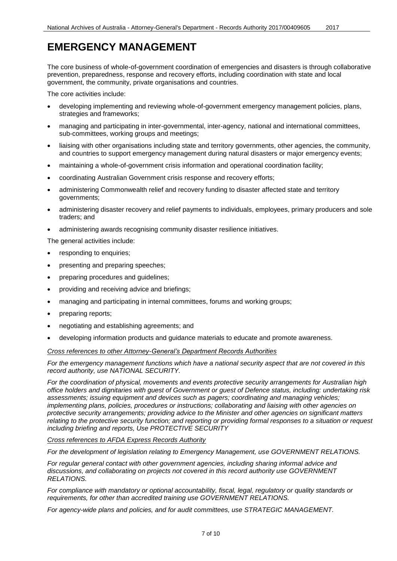<span id="page-6-0"></span>The core business of whole-of-government coordination of emergencies and disasters is through collaborative prevention, preparedness, response and recovery efforts, including coordination with state and local government, the community, private organisations and countries.

The core activities include:

- developing implementing and reviewing whole-of-government emergency management policies, plans, strategies and frameworks;
- managing and participating in inter-governmental, inter-agency, national and international committees, sub-committees, working groups and meetings;
- liaising with other organisations including state and territory governments, other agencies, the community, and countries to support emergency management during natural disasters or major emergency events;
- maintaining a whole-of-government crisis information and operational coordination facility;
- coordinating Australian Government crisis response and recovery efforts;
- administering Commonwealth relief and recovery funding to disaster affected state and territory governments;
- administering disaster recovery and relief payments to individuals, employees, primary producers and sole traders; and
- administering awards recognising community disaster resilience initiatives.

The general activities include:

- responding to enquiries;
- presenting and preparing speeches;
- preparing procedures and guidelines;
- providing and receiving advice and briefings;
- managing and participating in internal committees, forums and working groups;
- preparing reports;
- negotiating and establishing agreements; and
- developing information products and guidance materials to educate and promote awareness.

*Cross references to other Attorney-General's Department Records Authorities*

*For the emergency management functions which have a national security aspect that are not covered in this record authority, use NATIONAL SECURITY.*

*For the coordination of physical, movements and events protective security arrangements for Australian high office holders and dignitaries with guest of Government or guest of Defence status, including: undertaking risk assessments; issuing equipment and devices such as pagers; coordinating and managing vehicles; implementing plans, policies, procedures or instructions; collaborating and liaising with other agencies on protective security arrangements; providing advice to the Minister and other agencies on significant matters relating to the protective security function; and reporting or providing formal responses to a situation or request including briefing and reports, Use PROTECTIVE SECURITY* 

#### *Cross references to AFDA Express Records Authority*

*For the development of legislation relating to Emergency Management, use GOVERNMENT RELATIONS.*

*For regular general contact with other government agencies, including sharing informal advice and discussions, and collaborating on projects not covered in this record authority use GOVERNMENT RELATIONS.* 

*For compliance with mandatory or optional accountability, fiscal, legal, regulatory or quality standards or requirements, for other than accredited training use GOVERNMENT RELATIONS.*

*For agency-wide plans and policies, and for audit committees, use STRATEGIC MANAGEMENT.*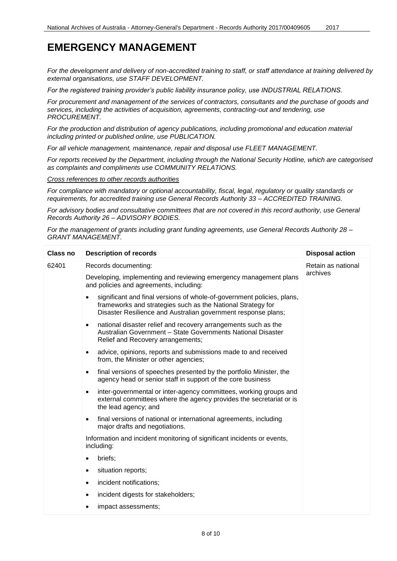*For the development and delivery of non-accredited training to staff, or staff attendance at training delivered by external organisations, use STAFF DEVELOPMENT.*

*For the registered training provider's public liability insurance policy, use INDUSTRIAL RELATIONS.*

*For procurement and management of the services of contractors, consultants and the purchase of goods and services, including the activities of acquisition, agreements, contracting-out and tendering, use PROCUREMENT.* 

*For the production and distribution of agency publications, including promotional and education material including printed or published online, use PUBLICATION.*

*For all vehicle management, maintenance, repair and disposal use FLEET MANAGEMENT.* 

*For reports received by the Department, including through the National Security Hotline, which are categorised as complaints and compliments use COMMUNITY RELATIONS.*

*Cross references to other records authorities*

*For compliance with mandatory or optional accountability, fiscal, legal, regulatory or quality standards or requirements, for accredited training use General Records Authority 33 – ACCREDITED TRAINING.* 

*For advisory bodies and consultative committees that are not covered in this record authority, use General Records Authority 26 – ADVISORY BODIES.*

*For the management of grants including grant funding agreements, use General Records Authority 28 – GRANT MANAGEMENT.*

| <b>Class no</b> | <b>Description of records</b>                                                                                                                                                                                       | <b>Disposal action</b>         |
|-----------------|---------------------------------------------------------------------------------------------------------------------------------------------------------------------------------------------------------------------|--------------------------------|
| 62401           | Records documenting:                                                                                                                                                                                                | Retain as national<br>archives |
|                 | Developing, implementing and reviewing emergency management plans<br>and policies and agreements, including:                                                                                                        |                                |
|                 | significant and final versions of whole-of-government policies, plans,<br>$\bullet$<br>frameworks and strategies such as the National Strategy for<br>Disaster Resilience and Australian government response plans; |                                |
|                 | national disaster relief and recovery arrangements such as the<br>$\bullet$<br>Australian Government - State Governments National Disaster<br>Relief and Recovery arrangements;                                     |                                |
|                 | advice, opinions, reports and submissions made to and received<br>$\bullet$<br>from, the Minister or other agencies;                                                                                                |                                |
|                 | final versions of speeches presented by the portfolio Minister, the<br>$\bullet$<br>agency head or senior staff in support of the core business                                                                     |                                |
|                 | inter-governmental or inter-agency committees, working groups and<br>$\bullet$<br>external committees where the agency provides the secretariat or is<br>the lead agency; and                                       |                                |
|                 | final versions of national or international agreements, including<br>$\bullet$<br>major drafts and negotiations.                                                                                                    |                                |
|                 | Information and incident monitoring of significant incidents or events,<br>including:                                                                                                                               |                                |
|                 | briefs;<br>$\bullet$                                                                                                                                                                                                |                                |
|                 | situation reports;<br>$\bullet$                                                                                                                                                                                     |                                |
|                 | incident notifications;<br>$\bullet$                                                                                                                                                                                |                                |
|                 | incident digests for stakeholders;<br>$\bullet$                                                                                                                                                                     |                                |
|                 | impact assessments;<br>$\bullet$                                                                                                                                                                                    |                                |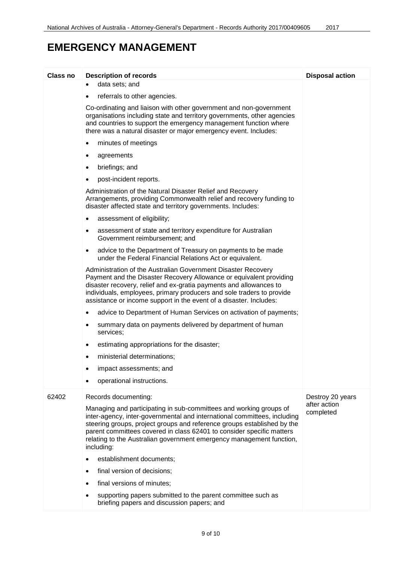| Class no | <b>Description of records</b>                                                                                                                                                                                                                                                                                                                                                            | <b>Disposal action</b>    |
|----------|------------------------------------------------------------------------------------------------------------------------------------------------------------------------------------------------------------------------------------------------------------------------------------------------------------------------------------------------------------------------------------------|---------------------------|
|          | data sets; and                                                                                                                                                                                                                                                                                                                                                                           |                           |
|          | referrals to other agencies.<br>$\bullet$                                                                                                                                                                                                                                                                                                                                                |                           |
|          | Co-ordinating and liaison with other government and non-government<br>organisations including state and territory governments, other agencies<br>and countries to support the emergency management function where<br>there was a natural disaster or major emergency event. Includes:                                                                                                    |                           |
|          | minutes of meetings<br>$\bullet$                                                                                                                                                                                                                                                                                                                                                         |                           |
|          | agreements<br>$\bullet$                                                                                                                                                                                                                                                                                                                                                                  |                           |
|          | briefings; and<br>٠                                                                                                                                                                                                                                                                                                                                                                      |                           |
|          | post-incident reports.                                                                                                                                                                                                                                                                                                                                                                   |                           |
|          | Administration of the Natural Disaster Relief and Recovery<br>Arrangements, providing Commonwealth relief and recovery funding to<br>disaster affected state and territory governments. Includes:                                                                                                                                                                                        |                           |
|          | assessment of eligibility;<br>$\bullet$                                                                                                                                                                                                                                                                                                                                                  |                           |
|          | assessment of state and territory expenditure for Australian<br>٠<br>Government reimbursement; and                                                                                                                                                                                                                                                                                       |                           |
|          | advice to the Department of Treasury on payments to be made<br>$\bullet$<br>under the Federal Financial Relations Act or equivalent.                                                                                                                                                                                                                                                     |                           |
|          | Administration of the Australian Government Disaster Recovery<br>Payment and the Disaster Recovery Allowance or equivalent providing<br>disaster recovery, relief and ex-gratia payments and allowances to<br>individuals, employees, primary producers and sole traders to provide<br>assistance or income support in the event of a disaster. Includes:                                |                           |
|          | advice to Department of Human Services on activation of payments;<br>٠                                                                                                                                                                                                                                                                                                                   |                           |
|          | summary data on payments delivered by department of human<br>٠<br>services;                                                                                                                                                                                                                                                                                                              |                           |
|          | estimating appropriations for the disaster;<br>$\bullet$                                                                                                                                                                                                                                                                                                                                 |                           |
|          | ministerial determinations;                                                                                                                                                                                                                                                                                                                                                              |                           |
|          | impact assessments; and                                                                                                                                                                                                                                                                                                                                                                  |                           |
|          | operational instructions.                                                                                                                                                                                                                                                                                                                                                                |                           |
| 62402    | Records documenting:                                                                                                                                                                                                                                                                                                                                                                     | Destroy 20 years          |
|          | Managing and participating in sub-committees and working groups of<br>inter-agency, inter-governmental and international committees, including<br>steering groups, project groups and reference groups established by the<br>parent committees covered in class 62401 to consider specific matters<br>relating to the Australian government emergency management function,<br>including: | after action<br>completed |
|          | establishment documents;                                                                                                                                                                                                                                                                                                                                                                 |                           |
|          | final version of decisions;                                                                                                                                                                                                                                                                                                                                                              |                           |
|          | final versions of minutes;                                                                                                                                                                                                                                                                                                                                                               |                           |
|          | supporting papers submitted to the parent committee such as<br>briefing papers and discussion papers; and                                                                                                                                                                                                                                                                                |                           |